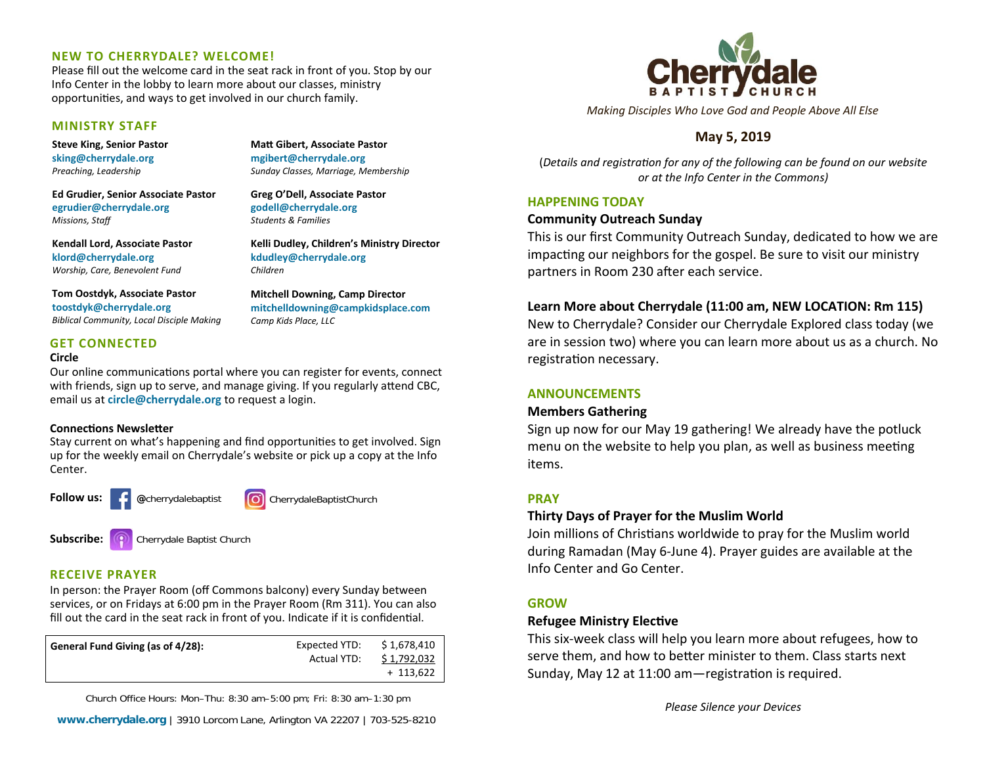#### **NEW TO CHERRYDALE? WELCOME!**

Please fill out the welcome card in the seat rack in front of you. Stop by our Info Center in the lobby to learn more about our classes, ministry opportunities, and ways to get involved in our church family.

#### **MINISTRY STAFF**

**Steve King, Senior Pastor sking@cherrydale.org** *Preaching, Leadership* 

**Ed Grudier, Senior Associate Pastor egrudier@cherrydale.org** *Missions, Staff*

**Kendall Lord, Associate Pastor klord@cherrydale.org** *Worship, Care, Benevolent Fund* 

**kdudley@cherrydale.org** *Children* **Mitchell Downing, Camp Director** 

*Camp Kids Place, LLC* 

**MaƩ Gibert, Associate Pastor mgibert@cherrydale.org**

**Greg O'Dell, Associate Pastor godell@cherrydale.org** *Students & Families* 

*Sunday Classes, Marriage, Membership* 

**Kelli Dudley, Children's Ministry Director** 

**mitchelldowning@campkidsplace.com** 

**Tom Oostdyk, Associate Pastor toostdyk@cherrydale.org** *Biblical Community, Local Disciple Making* 

# **GET CONNECTED**

#### **Circle**

Our online communications portal where you can register for events, connect with friends, sign up to serve, and manage giving. If you regularly attend CBC, email us at **circle@cherrydale.org** to request <sup>a</sup> login.

#### **ConnecƟons NewsleƩer**

Stay current on what's happening and find opportunities to get involved. Sign up for the weekly email on Cherrydale's website or pick up <sup>a</sup> copy at the Info Center.



# **RECEIVE PRAYER**

In person: the Prayer Room (off Commons balcony) every Sunday between services, or on Fridays at 6:00 pm in the Prayer Room (Rm 311). You can also fill out the card in the seat rack in front of you. Indicate if it is confidential.

| General Fund Giving (as of 4/28): | Expected YTD: | \$1,678,410 |
|-----------------------------------|---------------|-------------|
|                                   | Actual YTD:   | \$1,792,032 |
|                                   |               | $+ 113,622$ |

Church Office Hours: Mon–Thu: 8:30 am–5:00 pm; Fri: 8:30 am–1:30 pm



*Making Disciples Who Love God and People Above All Else* 

# **May 5, 2019**

(*Details and registraƟon for any of the following can be found on our website or at the Info Center in the Commons)* 

#### **HAPPENING TODAY**

#### **Community Outreach Sunday**

This is our first Community Outreach Sunday, dedicated to how we are impacting our neighbors for the gospel. Be sure to visit our ministry partners in Room 230 after each service.

# **Learn More about Cherrydale (11:00 am, NEW LOCATION: Rm 115)**

New to Cherrydale? Consider our Cherrydale Explored class today (we are in session two) where you can learn more about us as <sup>a</sup> church. No registration necessary.

# **ANNOUNCEMENTS**

#### **Members Gathering**

Sign up now for our May 19 gathering! We already have the potluck menu on the website to help you plan, as well as business meeting items.

# **PRAY**

# **Thirty Days of Prayer for the Muslim World**

Join millions of Christians worldwide to pray for the Muslim world during Ramadan (May 6‐June 4). Prayer guides are available at the Info Center and Go Center.

# **GROW**

# **Refugee Ministry Elective**

This six‐week class will help you learn more about refugees, how to serve them, and how to better minister to them. Class starts next Sunday, May 12 at 11:00 am—registration is required.